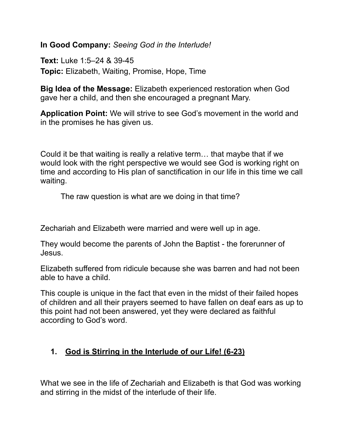**In Good Company:** *Seeing God in the Interlude!*

**Text:** Luke 1:5–24 & 39-45 **Topic:** Elizabeth, Waiting, Promise, Hope, Time

**Big Idea of the Message:** Elizabeth experienced restoration when God gave her a child, and then she encouraged a pregnant Mary.

**Application Point:** We will strive to see God's movement in the world and in the promises he has given us.

Could it be that waiting is really a relative term… that maybe that if we would look with the right perspective we would see God is working right on time and according to His plan of sanctification in our life in this time we call waiting.

The raw question is what are we doing in that time?

Zechariah and Elizabeth were married and were well up in age.

They would become the parents of John the Baptist - the forerunner of Jesus.

Elizabeth suffered from ridicule because she was barren and had not been able to have a child.

This couple is unique in the fact that even in the midst of their failed hopes of children and all their prayers seemed to have fallen on deaf ears as up to this point had not been answered, yet they were declared as faithful according to God's word.

## **1. God is Stirring in the Interlude of our Life! (6-23)**

What we see in the life of Zechariah and Elizabeth is that God was working and stirring in the midst of the interlude of their life.